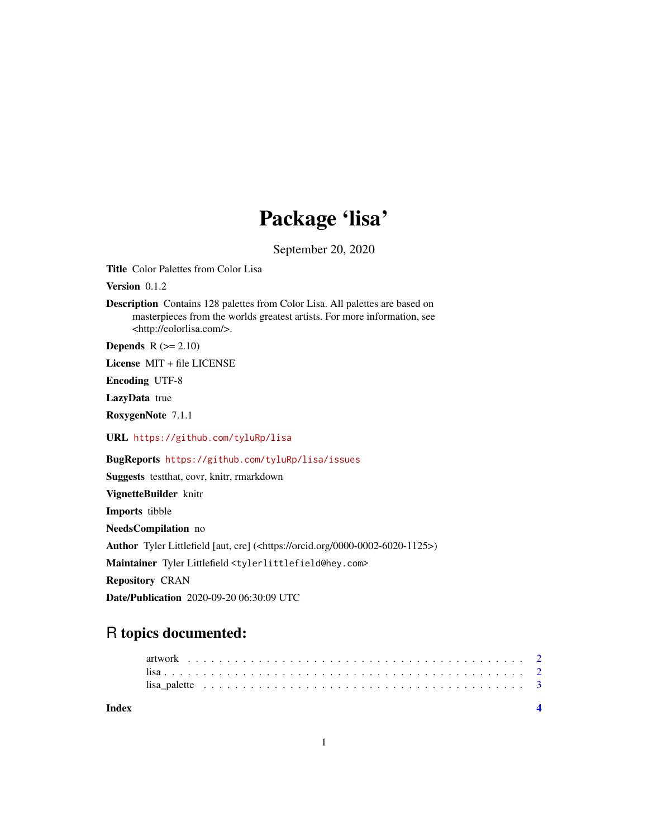## Package 'lisa'

September 20, 2020

<span id="page-0-0"></span>Title Color Palettes from Color Lisa

Version 0.1.2

Description Contains 128 palettes from Color Lisa. All palettes are based on masterpieces from the worlds greatest artists. For more information, see <http://colorlisa.com/>.

**Depends**  $R$  ( $>= 2.10$ )

License MIT + file LICENSE

Encoding UTF-8

LazyData true

RoxygenNote 7.1.1

URL <https://github.com/tyluRp/lisa>

BugReports <https://github.com/tyluRp/lisa/issues>

Suggests testthat, covr, knitr, rmarkdown VignetteBuilder knitr Imports tibble NeedsCompilation no Author Tyler Littlefield [aut, cre] (<https://orcid.org/0000-0002-6020-1125>) Maintainer Tyler Littlefield <tylerlittlefield@hey.com> Repository CRAN Date/Publication 2020-09-20 06:30:09 UTC

### R topics documented:

| Index |  |  |  |  |  |  |  |  |  |  |  |  |  |  |  |  |  |  |  |  |  |  |
|-------|--|--|--|--|--|--|--|--|--|--|--|--|--|--|--|--|--|--|--|--|--|--|
|       |  |  |  |  |  |  |  |  |  |  |  |  |  |  |  |  |  |  |  |  |  |  |
|       |  |  |  |  |  |  |  |  |  |  |  |  |  |  |  |  |  |  |  |  |  |  |
|       |  |  |  |  |  |  |  |  |  |  |  |  |  |  |  |  |  |  |  |  |  |  |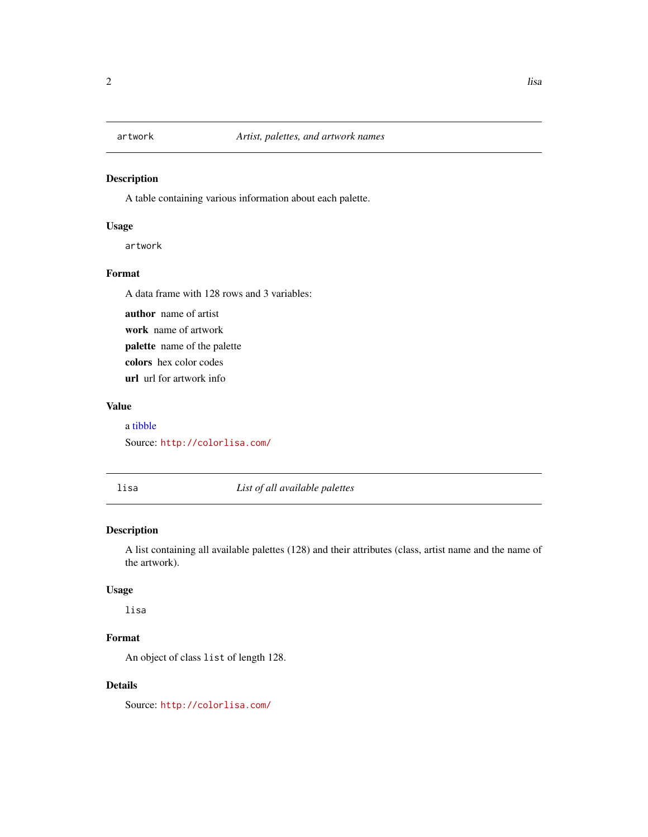<span id="page-1-0"></span>

#### Description

A table containing various information about each palette.

#### Usage

artwork

#### Format

A data frame with 128 rows and 3 variables:

author name of artist work name of artwork palette name of the palette colors hex color codes url url for artwork info

#### Value

a [tibble](#page-0-0) Source: <http://colorlisa.com/>

lisa *List of all available palettes*

#### Description

A list containing all available palettes (128) and their attributes (class, artist name and the name of the artwork).

#### Usage

lisa

#### Format

An object of class list of length 128.

#### Details

Source: <http://colorlisa.com/>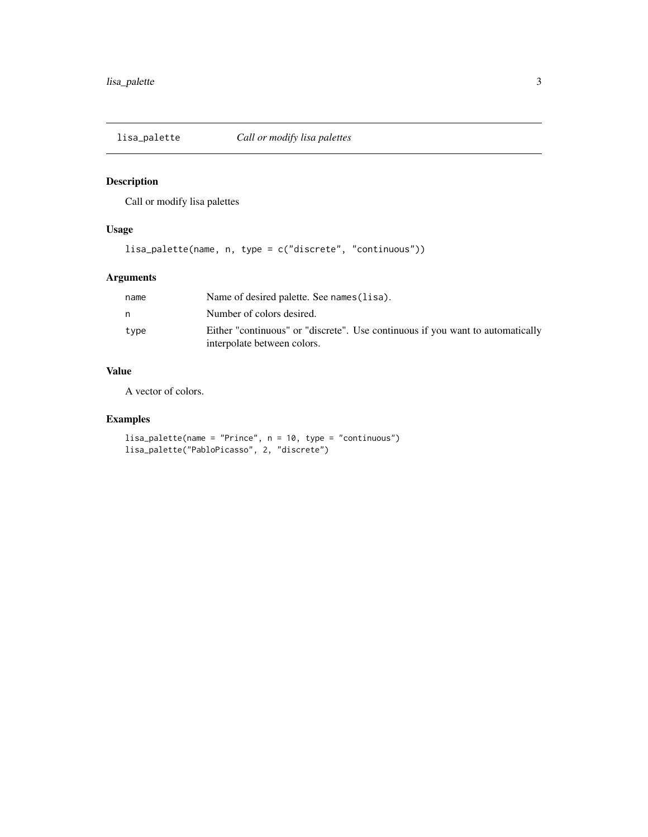<span id="page-2-0"></span>

#### Description

Call or modify lisa palettes

#### Usage

lisa\_palette(name, n, type = c("discrete", "continuous"))

#### Arguments

| name | Name of desired palette. See names (lisa).                                                                    |
|------|---------------------------------------------------------------------------------------------------------------|
|      | Number of colors desired.                                                                                     |
| type | Either "continuous" or "discrete". Use continuous if you want to automatically<br>interpolate between colors. |

#### Value

A vector of colors.

#### Examples

```
lisa_palette(name = "Prince", n = 10, type = "continuous")
lisa_palette("PabloPicasso", 2, "discrete")
```